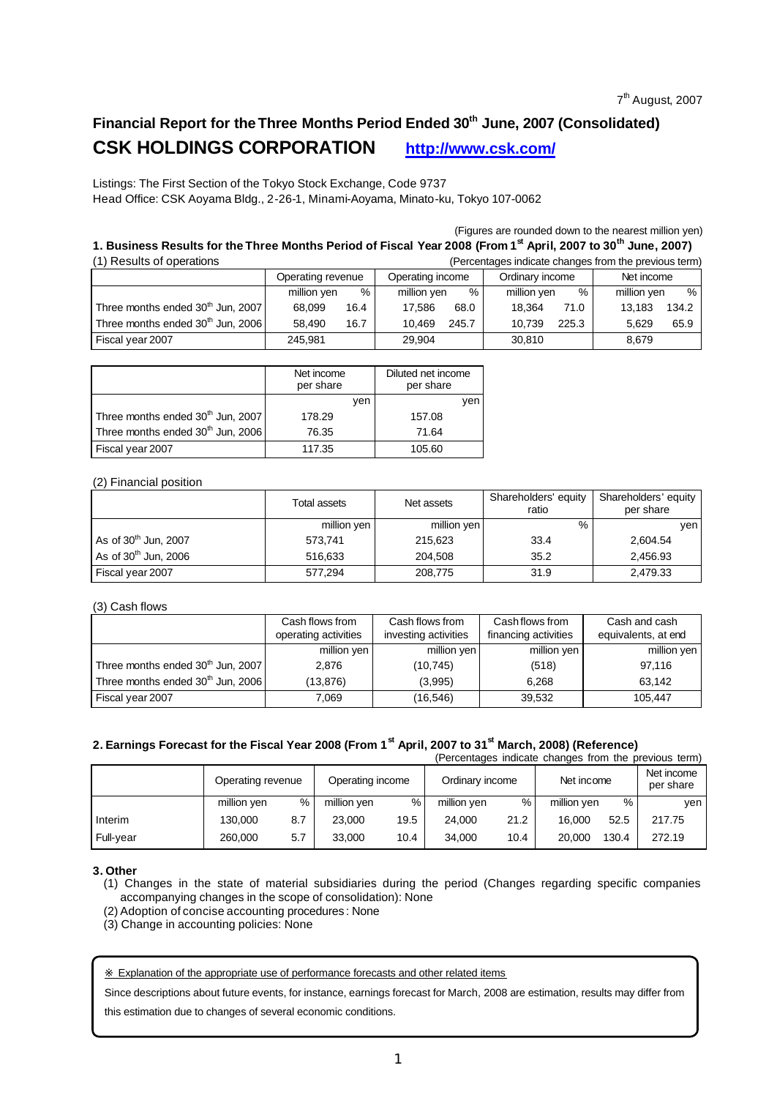# **Financial Report for the Three Months Period Ended 30th June, 2007 (Consolidated) CSK HOLDINGS CORPORATION http://www.csk.com/**

Listings: The First Section of the Tokyo Stock Exchange, Code 9737 Head Office: CSK Aoyama Bldg., 2-26-1, Minami-Aoyama, Minato-ku, Tokyo 107-0062

(Figures are rounded down to the nearest million yen)

### **1. Business Results for the Three Months Period of Fiscal Year 2008 (From 1 st April, 2007 to 30th June, 2007)**

| (1) Results of operations                     | (Percentages indicate changes from the previous term) |      |                  |       |                 |       |             |       |  |  |  |
|-----------------------------------------------|-------------------------------------------------------|------|------------------|-------|-----------------|-------|-------------|-------|--|--|--|
|                                               | Operating revenue                                     |      | Operating income |       | Ordinary income |       | Net income  |       |  |  |  |
|                                               | million yen                                           | %    | million yen      | %     | million yen     | %     | million yen | %     |  |  |  |
| Three months ended 30 <sup>th</sup> Jun, 2007 | 68.099                                                | 16.4 | 17.586           | 68.0  | 18.364          | 71.0  | 13.183      | 134.2 |  |  |  |
| Three months ended 30 <sup>th</sup> Jun, 2006 | 58.490                                                | 16.7 | 10.469           | 245.7 | 10.739          | 225.3 | 5.629       | 65.9  |  |  |  |
| Fiscal year 2007                              | 245.981                                               |      | 29.904           |       | 30.810          |       | 8,679       |       |  |  |  |

|                                               | Net income<br>per share | Diluted net income<br>per share |
|-----------------------------------------------|-------------------------|---------------------------------|
|                                               | ven                     | ven                             |
| Three months ended 30 <sup>th</sup> Jun, 2007 | 178.29                  | 157.08                          |
| Three months ended 30 <sup>th</sup> Jun, 2006 | 76.35                   | 71.64                           |
| Fiscal year 2007                              | 117.35                  | 105.60                          |

### (2) Financial position

|                                  | Total assets | Net assets  | Shareholders' equity<br>ratio | Shareholders' equity<br>per share |
|----------------------------------|--------------|-------------|-------------------------------|-----------------------------------|
|                                  | million yen  | million yen | %                             | ven                               |
| As of 30 <sup>th</sup> Jun, 2007 | 573.741      | 215.623     | 33.4                          | 2,604.54                          |
| As of 30 <sup>th</sup> Jun, 2006 | 516.633      | 204.508     | 35.2                          | 2.456.93                          |
| Fiscal year 2007                 | 577,294      | 208,775     | 31.9                          | 2,479.33                          |

#### (3) Cash flows

|                                               | Cash flows from<br>operating activities | Cash flows from<br>investing activities | Cash flows from<br>financing activities | Cash and cash<br>equivalents, at end |
|-----------------------------------------------|-----------------------------------------|-----------------------------------------|-----------------------------------------|--------------------------------------|
|                                               | million yen                             | million yen                             | million yen                             | million yen                          |
| Three months ended 30 <sup>th</sup> Jun, 2007 | 2.876                                   | (10,745)                                | (518)                                   | 97.116                               |
| Three months ended 30 <sup>th</sup> Jun, 2006 | (13, 876)                               | (3.995)                                 | 6.268                                   | 63.142                               |
| Fiscal year 2007                              | 7,069                                   | (16,546)                                | 39,532                                  | 105.447                              |

### **2. Earnings Forecast for the Fiscal Year 2008 (From 1st April, 2007 to 31st March, 2008) (Reference)**

|           |                   |     |                  |      |                 |      |             |       | (Percentages indicate changes from the previous term) |
|-----------|-------------------|-----|------------------|------|-----------------|------|-------------|-------|-------------------------------------------------------|
|           | Operating revenue |     | Operating income |      | Ordinary income |      | Net income  |       | Net income<br>per share                               |
|           | million yen       | %   | million yen      | %    | million yen     | %    | million yen | %     | ven                                                   |
| Interim   | 130,000           | 8.7 | 23,000           | 19.5 | 24.000          | 21.2 | 16.000      | 52.5  | 217.75                                                |
| Full-year | 260,000           | 5.7 | 33.000           | 10.4 | 34.000          | 10.4 | 20,000      | 130.4 | 272.19                                                |

#### **3. Other**

(1) Changes in the state of material subsidiaries during the period (Changes regarding specific companies accompanying changes in the scope of consolidation): None

- (2) Adoption of concise accounting procedures : None
- (3) Change in accounting policies: None

#### Explanation of the appropriate use of performance forecasts and other related items

Since descriptions about future events, for instance, earnings forecast for March, 2008 are estimation, results may differ from

this estimation due to changes of several economic conditions.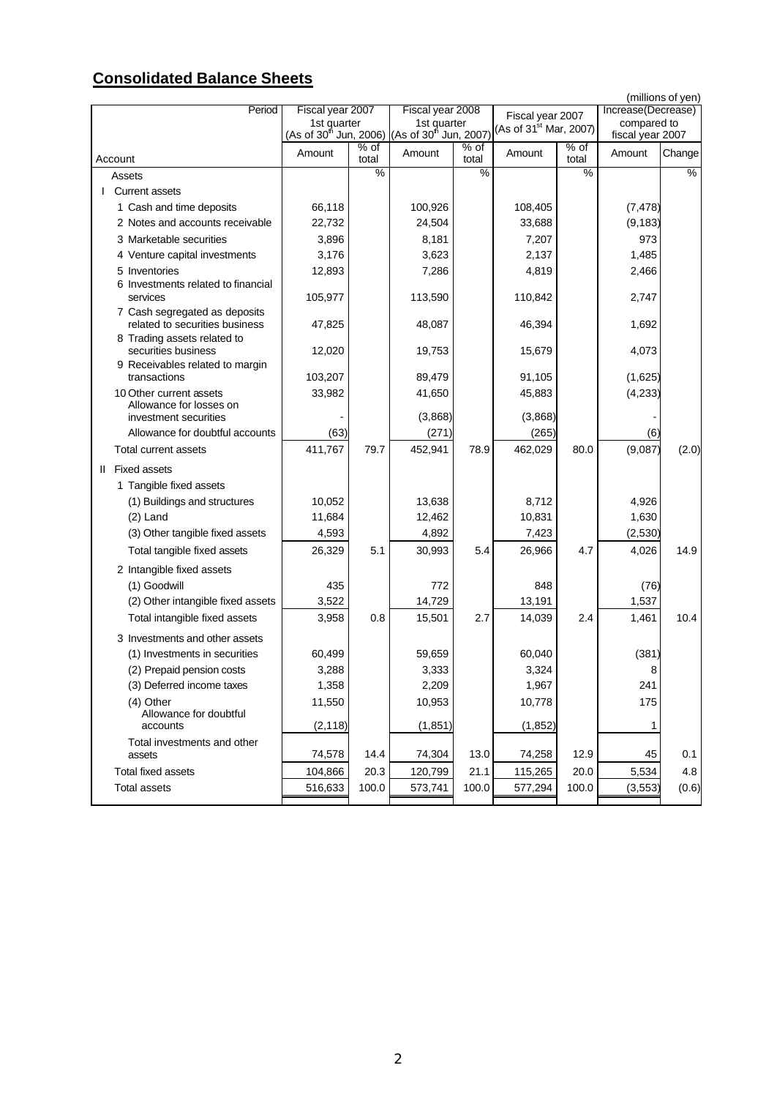# **Consolidated Balance Sheets**

|                                                                                       |                  |                 |                                                                                      |               |                                    |                 |                                   | (millions of yen) |
|---------------------------------------------------------------------------------------|------------------|-----------------|--------------------------------------------------------------------------------------|---------------|------------------------------------|-----------------|-----------------------------------|-------------------|
| Period                                                                                | Fiscal year 2007 |                 | Fiscal year 2008                                                                     |               | Fiscal year 2007                   |                 | Increase(Decrease)<br>compared to |                   |
|                                                                                       | 1st quarter      |                 | 1st quarter<br>(As of 30 <sup>th</sup> Jun, 2006) (As of 30 <sup>th</sup> Jun, 2007) |               | (As of 31 <sup>st</sup> Mar, 2007) |                 | fiscal year 2007                  |                   |
| Account                                                                               | Amount           | $%$ of<br>total | Amount                                                                               | % of<br>total | Amount                             | $%$ of<br>total | Amount                            | Change            |
| Assets                                                                                |                  | $\%$            |                                                                                      | %             |                                    | $\%$            |                                   | $\%$              |
| <b>Current assets</b>                                                                 |                  |                 |                                                                                      |               |                                    |                 |                                   |                   |
| 1 Cash and time deposits                                                              | 66,118           |                 | 100,926                                                                              |               | 108,405                            |                 | (7, 478)                          |                   |
| 2 Notes and accounts receivable                                                       | 22,732           |                 | 24,504                                                                               |               | 33,688                             |                 | (9, 183)                          |                   |
| 3 Marketable securities                                                               | 3,896            |                 | 8,181                                                                                |               | 7,207                              |                 | 973                               |                   |
| 4 Venture capital investments                                                         | 3,176            |                 | 3,623                                                                                |               | 2,137                              |                 | 1,485                             |                   |
| 5 Inventories                                                                         | 12,893           |                 | 7,286                                                                                |               | 4,819                              |                 | 2,466                             |                   |
| 6 Investments related to financial<br>services                                        | 105,977          |                 | 113,590                                                                              |               | 110,842                            |                 | 2,747                             |                   |
| 7 Cash segregated as deposits<br>related to securities business                       | 47,825           |                 | 48,087                                                                               |               | 46,394                             |                 | 1,692                             |                   |
| 8 Trading assets related to<br>securities business<br>9 Receivables related to margin | 12,020           |                 | 19,753                                                                               |               | 15,679                             |                 | 4,073                             |                   |
| transactions                                                                          | 103,207          |                 | 89,479                                                                               |               | 91,105                             |                 | (1,625)                           |                   |
| 10 Other current assets                                                               | 33,982           |                 | 41,650                                                                               |               | 45,883                             |                 | (4, 233)                          |                   |
| Allowance for losses on<br>investment securities                                      |                  |                 | (3,868)                                                                              |               | (3,868)                            |                 |                                   |                   |
| Allowance for doubtful accounts                                                       | (63)             |                 | (271)                                                                                |               | (265)                              |                 | (6)                               |                   |
| Total current assets                                                                  | 411,767          | 79.7            | 452,941                                                                              | 78.9          | 462,029                            | 80.0            | (9,087)                           | (2.0)             |
| <b>Fixed assets</b><br>$\mathbf{II}$                                                  |                  |                 |                                                                                      |               |                                    |                 |                                   |                   |
| 1 Tangible fixed assets                                                               |                  |                 |                                                                                      |               |                                    |                 |                                   |                   |
| (1) Buildings and structures                                                          | 10,052           |                 | 13,638                                                                               |               | 8,712                              |                 | 4,926                             |                   |
| $(2)$ Land                                                                            | 11,684           |                 | 12,462                                                                               |               | 10,831                             |                 | 1,630                             |                   |
| (3) Other tangible fixed assets                                                       | 4,593            |                 | 4,892                                                                                |               | 7,423                              |                 | (2,530)                           |                   |
| Total tangible fixed assets                                                           | 26,329           | 5.1             | 30,993                                                                               | 5.4           | 26,966                             | 4.7             | 4,026                             | 14.9              |
| 2 Intangible fixed assets                                                             |                  |                 |                                                                                      |               |                                    |                 |                                   |                   |
| (1) Goodwill                                                                          | 435              |                 | 772                                                                                  |               | 848                                |                 | (76)                              |                   |
| (2) Other intangible fixed assets                                                     | 3,522            |                 | 14,729                                                                               |               | 13,191                             |                 | 1,537                             |                   |
| Total intangible fixed assets                                                         | 3,958            | 0.8             | 15,501                                                                               | 2.7           | 14,039                             | 2.4             | 1,461                             | 10.4              |
| 3 Investments and other assets                                                        |                  |                 |                                                                                      |               |                                    |                 |                                   |                   |
| (1) Investments in securities                                                         | 60,499           |                 | 59,659                                                                               |               | 60,040                             |                 | (381)                             |                   |
| (2) Prepaid pension costs                                                             | 3,288            |                 | 3,333                                                                                |               | 3.324                              |                 | 8                                 |                   |
| (3) Deferred income taxes                                                             | 1,358            |                 | 2,209                                                                                |               | 1,967                              |                 | 241                               |                   |
| (4) Other                                                                             | 11,550           |                 | 10,953                                                                               |               | 10,778                             |                 | 175                               |                   |
| Allowance for doubtful<br>accounts                                                    | (2, 118)         |                 | (1, 851)                                                                             |               | (1, 852)                           |                 | 1                                 |                   |
| Total investments and other                                                           |                  |                 |                                                                                      |               |                                    |                 |                                   |                   |
| assets                                                                                | 74,578           | 14.4            | 74,304                                                                               | 13.0          | 74,258                             | 12.9            | 45                                | 0.1               |
| Total fixed assets                                                                    | 104,866          | 20.3            | 120,799                                                                              | 21.1          | 115,265                            | 20.0            | 5,534                             | 4.8               |
| <b>Total assets</b>                                                                   | 516,633          | 100.0           | 573,741                                                                              | 100.0         | 577,294                            | 100.0           | (3, 553)                          | (0.6)             |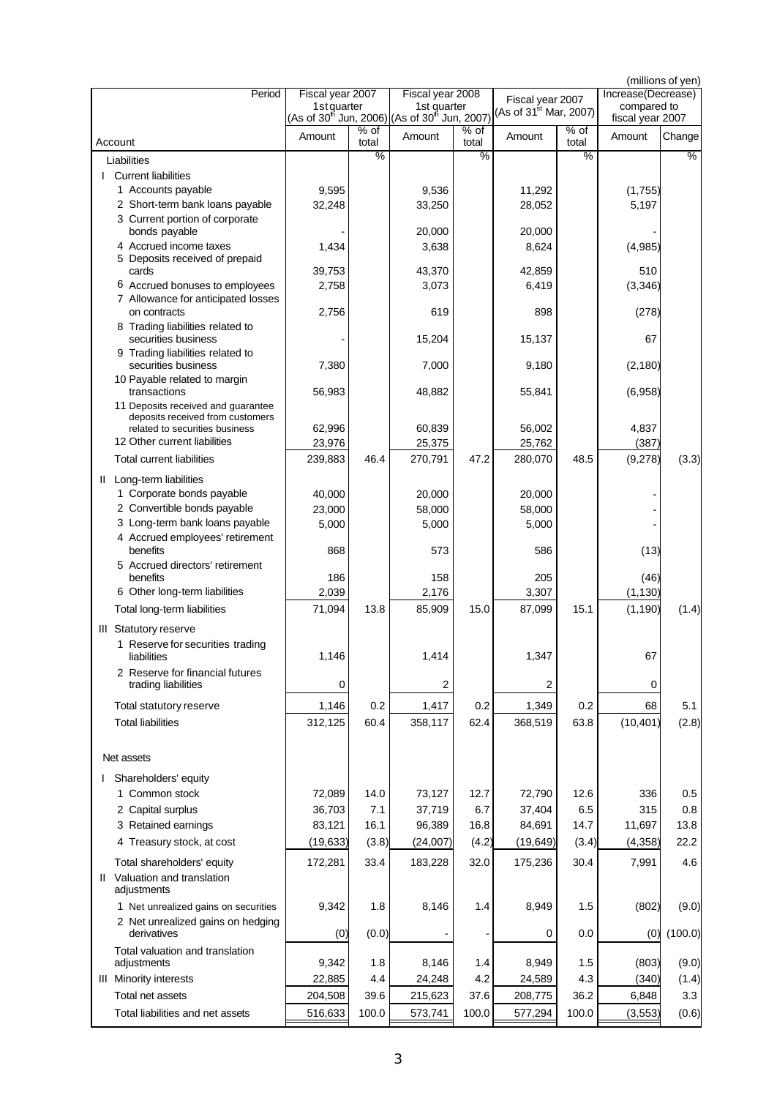| Period                                                               | Fiscal year 2007 |       | Fiscal year 2008                                                                                 |       |                                                        |        | Increase(Decrease) | (millions of yen) |
|----------------------------------------------------------------------|------------------|-------|--------------------------------------------------------------------------------------------------|-------|--------------------------------------------------------|--------|--------------------|-------------------|
|                                                                      |                  |       | 1st quarter 1st quarter<br>(As of 30 <sup>th</sup> Jun, 2006) (As of 30 <sup>th</sup> Jun, 2007) |       | Fiscal year 2007<br>(As of 31 <sup>st</sup> Mar, 2007) |        | compared to        |                   |
|                                                                      |                  | % of  |                                                                                                  | % of  |                                                        | $%$ of | fiscal year 2007   |                   |
| Account                                                              | Amount           | total | Amount                                                                                           | total | Amount                                                 | total  | Amount             | Change            |
| Liabilities                                                          |                  | $\%$  |                                                                                                  | $\%$  |                                                        | $\%$   |                    | $\%$              |
| <b>Current liabilities</b>                                           |                  |       |                                                                                                  |       |                                                        |        |                    |                   |
| 1 Accounts payable                                                   | 9,595            |       | 9,536                                                                                            |       | 11,292                                                 |        | (1,755)            |                   |
| 2 Short-term bank loans payable                                      | 32,248           |       | 33,250                                                                                           |       | 28,052                                                 |        | 5,197              |                   |
| 3 Current portion of corporate<br>bonds payable                      |                  |       | 20,000                                                                                           |       | 20,000                                                 |        |                    |                   |
| 4 Accrued income taxes                                               | 1,434            |       | 3,638                                                                                            |       | 8,624                                                  |        | (4,985)            |                   |
| 5 Deposits received of prepaid                                       |                  |       |                                                                                                  |       |                                                        |        |                    |                   |
| cards                                                                | 39,753           |       | 43,370                                                                                           |       | 42,859                                                 |        | 510                |                   |
| 6 Accrued bonuses to employees<br>7 Allowance for anticipated losses | 2,758            |       | 3,073                                                                                            |       | 6,419                                                  |        | (3, 346)           |                   |
| on contracts                                                         | 2,756            |       | 619                                                                                              |       | 898                                                    |        | (278)              |                   |
| 8 Trading liabilities related to                                     |                  |       |                                                                                                  |       |                                                        |        |                    |                   |
| securities business                                                  |                  |       | 15,204                                                                                           |       | 15,137                                                 |        | 67                 |                   |
| 9 Trading liabilities related to                                     |                  |       |                                                                                                  |       |                                                        |        |                    |                   |
| securities business<br>10 Payable related to margin                  | 7,380            |       | 7,000                                                                                            |       | 9,180                                                  |        | (2, 180)           |                   |
| transactions                                                         | 56,983           |       | 48,882                                                                                           |       | 55,841                                                 |        | (6,958)            |                   |
| 11 Deposits received and guarantee                                   |                  |       |                                                                                                  |       |                                                        |        |                    |                   |
| deposits received from customers<br>related to securities business   | 62,996           |       | 60,839                                                                                           |       | 56,002                                                 |        | 4,837              |                   |
| 12 Other current liabilities                                         | 23,976           |       | 25,375                                                                                           |       | 25,762                                                 |        | (387)              |                   |
| <b>Total current liabilities</b>                                     | 239,883          | 46.4  | 270,791                                                                                          | 47.2  | 280,070                                                | 48.5   | (9,278)            | (3.3)             |
|                                                                      |                  |       |                                                                                                  |       |                                                        |        |                    |                   |
| II Long-term liabilities                                             |                  |       |                                                                                                  |       |                                                        |        |                    |                   |
| 1 Corporate bonds payable                                            | 40,000           |       | 20,000                                                                                           |       | 20,000                                                 |        |                    |                   |
| 2 Convertible bonds payable<br>3 Long-term bank loans payable        | 23,000           |       | 58,000                                                                                           |       | 58,000                                                 |        |                    |                   |
| 4 Accrued employees' retirement                                      | 5,000            |       | 5,000                                                                                            |       | 5,000                                                  |        |                    |                   |
| benefits                                                             | 868              |       | 573                                                                                              |       | 586                                                    |        | (13)               |                   |
| 5 Accrued directors' retirement                                      |                  |       |                                                                                                  |       |                                                        |        |                    |                   |
| benefits                                                             | 186              |       | 158                                                                                              |       | 205                                                    |        | (46)               |                   |
| 6 Other long-term liabilities                                        | 2,039            |       | 2,176                                                                                            |       | 3,307                                                  |        | (1, 130)           |                   |
| Total long-term liabilities                                          | 71,094           | 13.8  | 85,909                                                                                           | 15.0  | 87,099                                                 | 15.1   | (1, 190)           | (1.4)             |
| III Statutory reserve                                                |                  |       |                                                                                                  |       |                                                        |        |                    |                   |
| 1 Reserve for securities trading                                     |                  |       |                                                                                                  |       |                                                        |        |                    |                   |
| liabilities                                                          | 1,146            |       | 1,414                                                                                            |       | 1,347                                                  |        | 67                 |                   |
| 2 Reserve for financial futures                                      |                  |       |                                                                                                  |       |                                                        |        |                    |                   |
| trading liabilities                                                  | 0                |       | 2                                                                                                |       | 2                                                      |        | 0                  |                   |
| Total statutory reserve                                              | 1,146            | 0.2   | 1,417                                                                                            | 0.2   | 1,349                                                  | 0.2    | 68                 | 5.1               |
| <b>Total liabilities</b>                                             | 312,125          | 60.4  | 358,117                                                                                          | 62.4  | 368,519                                                | 63.8   | (10, 401)          | (2.8)             |
|                                                                      |                  |       |                                                                                                  |       |                                                        |        |                    |                   |
| Net assets                                                           |                  |       |                                                                                                  |       |                                                        |        |                    |                   |
| Shareholders' equity                                                 |                  |       |                                                                                                  |       |                                                        |        |                    |                   |
| 1 Common stock                                                       | 72,089           | 14.0  | 73,127                                                                                           | 12.7  | 72,790                                                 | 12.6   | 336                | 0.5               |
| 2 Capital surplus                                                    | 36,703           | 7.1   | 37,719                                                                                           | 6.7   | 37,404                                                 | 6.5    | 315                | 0.8               |
| 3 Retained earnings                                                  | 83,121           | 16.1  | 96,389                                                                                           | 16.8  | 84,691                                                 | 14.7   | 11,697             | 13.8              |
| 4 Treasury stock, at cost                                            | (19, 633)        | (3.8) | (24,007)                                                                                         | (4.2) | (19, 649)                                              | (3.4)  | (4,358)            | 22.2              |
|                                                                      |                  |       |                                                                                                  |       |                                                        |        |                    |                   |
| Total shareholders' equity                                           | 172,281          | 33.4  | 183,228                                                                                          | 32.0  | 175,236                                                | 30.4   | 7,991              | 4.6               |
| II Valuation and translation<br>adjustments                          |                  |       |                                                                                                  |       |                                                        |        |                    |                   |
| 1 Net unrealized gains on securities                                 | 9,342            | 1.8   | 8,146                                                                                            | 1.4   | 8,949                                                  | 1.5    | (802)              | (9.0)             |
| 2 Net unrealized gains on hedging                                    |                  |       |                                                                                                  |       |                                                        |        |                    |                   |
| derivatives                                                          | (0)              | (0.0) |                                                                                                  |       | 0                                                      | 0.0    | (0)                | (100.0)           |
| Total valuation and translation                                      |                  |       |                                                                                                  |       |                                                        |        |                    |                   |
| adjustments                                                          | 9,342            | 1.8   | 8,146                                                                                            | 1.4   | 8,949                                                  | 1.5    | (803)              | (9.0)             |
| <b>III</b> Minority interests                                        | 22,885           | 4.4   | 24,248                                                                                           | 4.2   | 24,589                                                 | 4.3    | (340)              | (1.4)             |
| Total net assets                                                     | 204,508          | 39.6  | 215,623                                                                                          | 37.6  | 208,775                                                | 36.2   | 6,848              | 3.3               |
| Total liabilities and net assets                                     | 516,633          | 100.0 | 573,741                                                                                          | 100.0 | 577,294                                                | 100.0  | (3, 553)           | (0.6)             |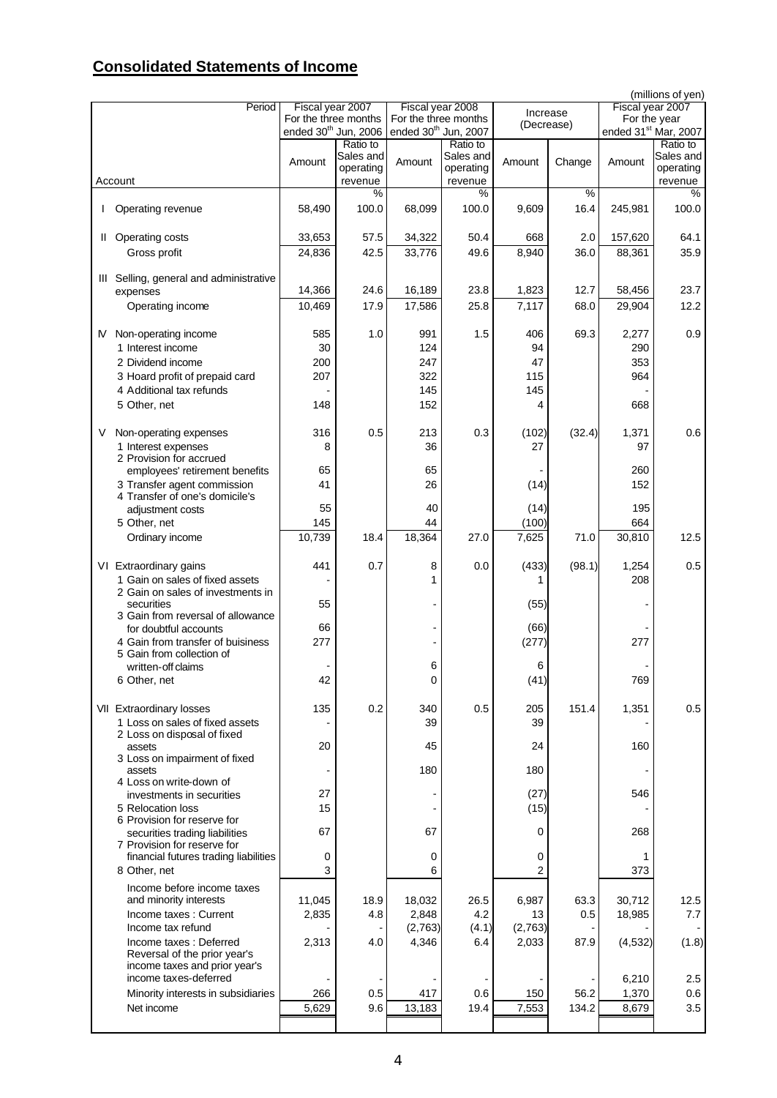## **Consolidated Statements of Income**

|    |                                         |                                  |           |                                  |           |            |        |                                  | (millions of yen) |
|----|-----------------------------------------|----------------------------------|-----------|----------------------------------|-----------|------------|--------|----------------------------------|-------------------|
|    | Period                                  | Fiscal year 2007                 |           | Fiscal year 2008                 |           | Increase   |        | Fiscal year 2007                 |                   |
|    |                                         | For the three months             |           | For the three months             |           | (Decrease) |        | For the year                     |                   |
|    |                                         | ended 30 <sup>th</sup> Jun, 2006 |           | ended 30 <sup>th</sup> Jun, 2007 |           |            |        | ended 31 <sup>st</sup> Mar, 2007 |                   |
|    |                                         |                                  | Ratio to  |                                  | Ratio to  |            |        |                                  | Ratio to          |
|    |                                         | Amount                           | Sales and | Amount                           | Sales and | Amount     | Change | Amount                           | Sales and         |
|    |                                         |                                  | operating |                                  | operating |            |        |                                  | operating         |
|    | Account                                 |                                  | revenue   |                                  | revenue   |            |        |                                  | revenue           |
|    |                                         |                                  | $\%$      |                                  | %         |            | $\%$   |                                  | $\%$              |
|    | Operating revenue                       | 58,490                           | 100.0     | 68,099                           | 100.0     | 9,609      | 16.4   | 245,981                          | 100.0             |
|    |                                         |                                  |           |                                  |           |            |        |                                  |                   |
| Ш. | <b>Operating costs</b>                  | 33,653                           | 57.5      | 34,322                           | 50.4      | 668        | 2.0    | 157,620                          | 64.1              |
|    | Gross profit                            | 24,836                           | 42.5      | 33,776                           | 49.6      | 8,940      | 36.0   | 88,361                           | 35.9              |
|    |                                         |                                  |           |                                  |           |            |        |                                  |                   |
|    | III Selling, general and administrative |                                  |           |                                  |           |            |        |                                  |                   |
|    | expenses                                | 14,366                           | 24.6      | 16,189                           | 23.8      | 1,823      | 12.7   | 58,456                           | 23.7              |
|    |                                         | 10,469                           | 17.9      | 17,586                           | 25.8      | 7,117      | 68.0   |                                  | 12.2              |
|    | Operating income                        |                                  |           |                                  |           |            |        | 29,904                           |                   |
|    |                                         |                                  |           |                                  |           |            |        |                                  |                   |
| M  | Non-operating income                    | 585                              | 1.0       | 991                              | 1.5       | 406        | 69.3   | 2,277                            | 0.9               |
|    | 1 Interest income                       | 30                               |           | 124                              |           | 94         |        | 290                              |                   |
|    | 2 Dividend income                       | 200                              |           | 247                              |           | 47         |        | 353                              |                   |
|    | 3 Hoard profit of prepaid card          | 207                              |           | 322                              |           | 115        |        | 964                              |                   |
|    | 4 Additional tax refunds                |                                  |           | 145                              |           | 145        |        |                                  |                   |
|    | 5 Other, net                            | 148                              |           | 152                              |           | 4          |        | 668                              |                   |
|    |                                         |                                  |           |                                  |           |            |        |                                  |                   |
|    |                                         |                                  |           |                                  |           |            |        |                                  |                   |
| ٧  | Non-operating expenses                  | 316                              | 0.5       | 213                              | 0.3       | (102)      | (32.4) | 1,371                            | 0.6               |
|    | 1 Interest expenses                     | 8                                |           | 36                               |           | 27         |        | 97                               |                   |
|    | 2 Provision for accrued                 |                                  |           |                                  |           |            |        |                                  |                   |
|    | employees' retirement benefits          | 65                               |           | 65                               |           |            |        | 260                              |                   |
|    | 3 Transfer agent commission             | 41                               |           | 26                               |           | (14)       |        | 152                              |                   |
|    | 4 Transfer of one's domicile's          |                                  |           |                                  |           |            |        |                                  |                   |
|    | adjustment costs                        | 55                               |           | 40                               |           | (14)       |        | 195                              |                   |
|    | 5 Other, net                            | 145                              |           | 44                               |           | (100)      |        | 664                              |                   |
|    | Ordinary income                         | 10,739                           | 18.4      | 18,364                           | 27.0      | 7,625      | 71.0   | 30,810                           | 12.5              |
|    |                                         |                                  |           |                                  |           |            |        |                                  |                   |
|    | VI Extraordinary gains                  | 441                              | 0.7       | 8                                | 0.0       | (433)      | (98.1) | 1,254                            | 0.5               |
|    | 1 Gain on sales of fixed assets         |                                  |           |                                  |           |            |        | 208                              |                   |
|    | 2 Gain on sales of investments in       |                                  |           |                                  |           |            |        |                                  |                   |
|    | securities                              | 55                               |           |                                  |           | (55)       |        |                                  |                   |
|    | 3 Gain from reversal of allowance       |                                  |           |                                  |           |            |        |                                  |                   |
|    | for doubtful accounts                   | 66                               |           |                                  |           | (66)       |        |                                  |                   |
|    | 4 Gain from transfer of buisiness       | 277                              |           |                                  |           | (277)      |        | 277                              |                   |
|    | 5 Gain from collection of               |                                  |           |                                  |           |            |        |                                  |                   |
|    | written-off claims                      |                                  |           | 6                                |           | 6          |        |                                  |                   |
|    | 6 Other, net                            | 42                               |           | 0                                |           | (41)       |        | 769                              |                   |
|    |                                         |                                  |           |                                  |           |            |        |                                  |                   |
|    |                                         |                                  |           |                                  |           |            |        |                                  |                   |
|    | VII Extraordinary losses                | 135                              | 0.2       | 340                              | 0.5       | 205        | 151.4  | 1,351                            | 0.5               |
|    | 1 Loss on sales of fixed assets         |                                  |           | 39                               |           | 39         |        |                                  |                   |
|    | 2 Loss on disposal of fixed             |                                  |           |                                  |           |            |        |                                  |                   |
|    | assets                                  | 20                               |           | 45                               |           | 24         |        | 160                              |                   |
|    | 3 Loss on impairment of fixed<br>assets |                                  |           | 180                              |           | 180        |        |                                  |                   |
|    | 4 Loss on write-down of                 |                                  |           |                                  |           |            |        |                                  |                   |
|    | investments in securities               | 27                               |           |                                  |           | (27)       |        | 546                              |                   |
|    | 5 Relocation loss                       | 15                               |           |                                  |           | (15)       |        |                                  |                   |
|    | 6 Provision for reserve for             |                                  |           |                                  |           |            |        |                                  |                   |
|    | securities trading liabilities          | 67                               |           | 67                               |           | 0          |        | 268                              |                   |
|    | 7 Provision for reserve for             |                                  |           |                                  |           |            |        |                                  |                   |
|    | financial futures trading liabilities   | 0                                |           | 0                                |           | 0          |        | 1                                |                   |
|    | 8 Other, net                            | 3                                |           | 6                                |           | 2          |        | 373                              |                   |
|    |                                         |                                  |           |                                  |           |            |        |                                  |                   |
|    | Income before income taxes              |                                  |           |                                  |           |            |        |                                  |                   |
|    | and minority interests                  | 11,045                           | 18.9      | 18,032                           | 26.5      | 6,987      | 63.3   | 30,712                           | 12.5              |
|    | Income taxes: Current                   | 2,835                            | 4.8       | 2,848                            | 4.2       | 13         | 0.5    | 18,985                           | 7.7               |
|    | Income tax refund                       |                                  |           | (2,763)                          | (4.1)     | (2,763)    |        |                                  |                   |
|    | Income taxes: Deferred                  | 2,313                            | 4.0       | 4,346                            | 6.4       | 2,033      | 87.9   | (4, 532)                         | (1.8)             |
|    | Reversal of the prior year's            |                                  |           |                                  |           |            |        |                                  |                   |
|    | income taxes and prior year's           |                                  |           |                                  |           |            |        |                                  |                   |
|    | income taxes-deferred                   |                                  |           |                                  |           |            |        | 6,210                            | 2.5               |
|    | Minority interests in subsidiaries      | 266                              | 0.5       | 417                              | 0.6       | 150        | 56.2   | 1,370                            | 0.6               |
|    | Net income                              | 5,629                            | 9.6       | 13,183                           | 19.4      | 7,553      | 134.2  | 8,679                            | 3.5               |
|    |                                         |                                  |           |                                  |           |            |        |                                  |                   |
|    |                                         |                                  |           |                                  |           |            |        |                                  |                   |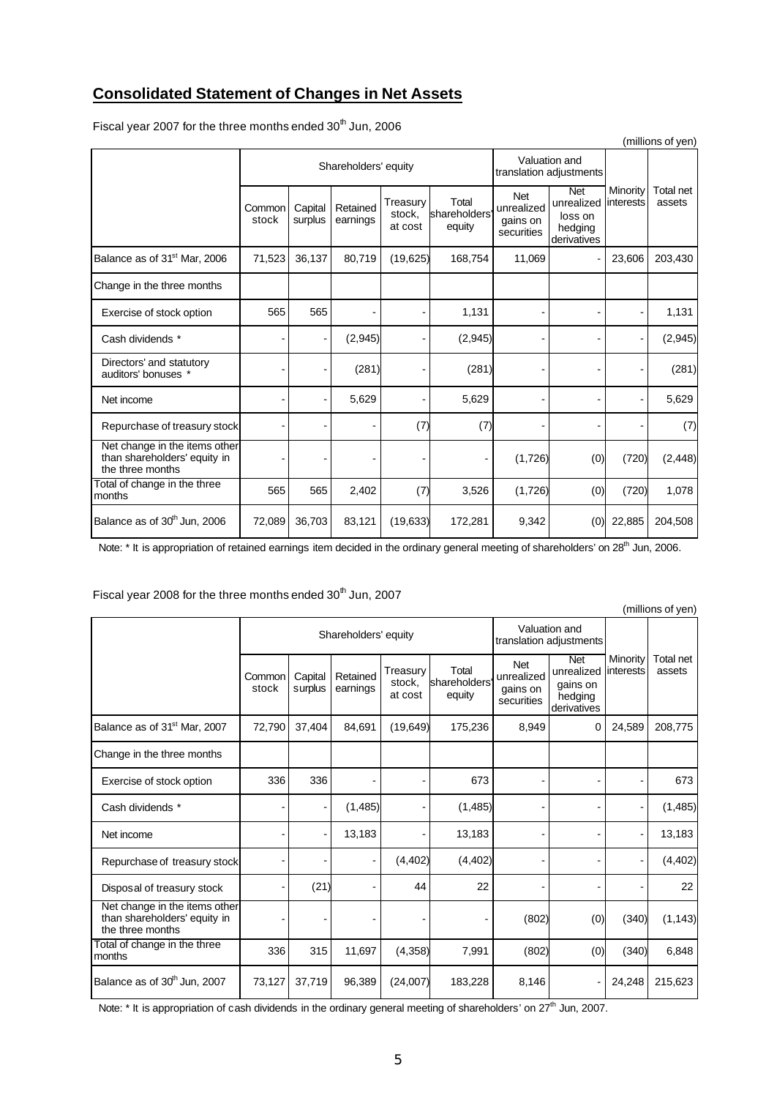## **Consolidated Statement of Changes in Net Assets**

| (millions of yen)                                                                 |                 |                    |                      |                               |                                 |                                                    |                                                               |                       |                     |  |
|-----------------------------------------------------------------------------------|-----------------|--------------------|----------------------|-------------------------------|---------------------------------|----------------------------------------------------|---------------------------------------------------------------|-----------------------|---------------------|--|
|                                                                                   |                 |                    | Shareholders' equity |                               |                                 |                                                    | Valuation and<br>translation adjustments                      |                       |                     |  |
|                                                                                   | Common<br>stock | Capital<br>surplus | Retained<br>earnings | Treasury<br>stock,<br>at cost | Total<br>shareholders<br>equity | <b>Net</b><br>unrealized<br>gains on<br>securities | <b>Net</b><br>unrealized<br>loss on<br>hedging<br>derivatives | Minority<br>interests | Total net<br>assets |  |
| Balance as of 31 <sup>st</sup> Mar, 2006                                          | 71,523          | 36,137             | 80,719               | (19, 625)                     | 168,754                         | 11,069                                             |                                                               | 23,606                | 203,430             |  |
| Change in the three months                                                        |                 |                    |                      |                               |                                 |                                                    |                                                               |                       |                     |  |
| Exercise of stock option                                                          | 565             | 565                |                      |                               | 1,131                           |                                                    |                                                               |                       | 1,131               |  |
| Cash dividends *                                                                  |                 |                    | (2,945)              |                               | (2,945)                         |                                                    |                                                               |                       | (2,945)             |  |
| Directors' and statutory<br>auditors' bonuses *                                   |                 |                    | (281)                |                               | (281)                           |                                                    |                                                               |                       | (281)               |  |
| Net income                                                                        |                 |                    | 5,629                |                               | 5,629                           |                                                    |                                                               |                       | 5,629               |  |
| Repurchase of treasury stock                                                      |                 |                    |                      | (7)                           | (7)                             |                                                    |                                                               |                       | (7)                 |  |
| Net change in the items other<br>than shareholders' equity in<br>the three months |                 |                    |                      |                               |                                 | (1,726)                                            | (0)                                                           | (720)                 | (2, 448)            |  |
| Total of change in the three<br>months                                            | 565             | 565                | 2,402                | (7)                           | 3,526                           | (1,726)                                            | (0)                                                           | (720)                 | 1,078               |  |
| Balance as of 30 <sup>th</sup> Jun. 2006                                          | 72,089          | 36,703             | 83,121               | (19, 633)                     | 172,281                         | 9,342                                              | (0)                                                           | 22,885                | 204,508             |  |

Fiscal year 2007 for the three months ended  $30^{\text{th}}$  Jun, 2006

Note: \* It is appropriation of retained earnings item decided in the ordinary general meeting of shareholders' on 28<sup>th</sup> Jun, 2006.

| (millions of yen)                                                                 |                 |                    |                                                                                                                                                |                                                                |                       |                     |                                          |        |          |  |  |
|-----------------------------------------------------------------------------------|-----------------|--------------------|------------------------------------------------------------------------------------------------------------------------------------------------|----------------------------------------------------------------|-----------------------|---------------------|------------------------------------------|--------|----------|--|--|
|                                                                                   |                 |                    | Shareholders' equity                                                                                                                           |                                                                |                       |                     | Valuation and<br>translation adjustments |        |          |  |  |
|                                                                                   | Common<br>stock | Capital<br>surplus | <b>Net</b><br>Total<br>Treasury<br>unrealized<br>Retained<br>shareholders<br>stock,<br>earnings<br>gains on<br>at cost<br>equity<br>securities | <b>Net</b><br>unrealized<br>gains on<br>hedging<br>derivatives | Minority<br>interests | Total net<br>assets |                                          |        |          |  |  |
| Balance as of 31 <sup>st</sup> Mar, 2007                                          | 72,790          | 37,404             | 84,691                                                                                                                                         | (19, 649)                                                      | 175,236               | 8,949               | 0                                        | 24,589 | 208,775  |  |  |
| Change in the three months                                                        |                 |                    |                                                                                                                                                |                                                                |                       |                     |                                          |        |          |  |  |
| Exercise of stock option                                                          | 336             | 336                |                                                                                                                                                |                                                                | 673                   |                     |                                          |        | 673      |  |  |
| Cash dividends *                                                                  |                 |                    | (1,485)                                                                                                                                        |                                                                | (1, 485)              |                     |                                          |        | (1,485)  |  |  |
| Net income                                                                        |                 |                    | 13,183                                                                                                                                         |                                                                | 13,183                |                     |                                          |        | 13,183   |  |  |
| Repurchase of treasury stock                                                      |                 |                    |                                                                                                                                                | (4, 402)                                                       | (4, 402)              |                     |                                          |        | (4, 402) |  |  |
| Disposal of treasury stock                                                        |                 | (21)               |                                                                                                                                                | 44                                                             | 22                    |                     |                                          |        | 22       |  |  |
| Net change in the items other<br>than shareholders' equity in<br>the three months |                 |                    |                                                                                                                                                |                                                                |                       | (802)               | (0)                                      | (340)  | (1, 143) |  |  |
| Total of change in the three<br>months                                            | 336             | 315                | 11,697                                                                                                                                         | (4,358)                                                        | 7,991                 | (802)               | (0)                                      | (340)  | 6,848    |  |  |
| Balance as of 30 <sup>th</sup> Jun, 2007                                          | 73,127          | 37,719             | 96,389                                                                                                                                         | (24,007)                                                       | 183,228               | 8,146               |                                          | 24,248 | 215,623  |  |  |

Fiscal year 2008 for the three months ended 30<sup>th</sup> Jun, 2007

Note: \* It is appropriation of cash dividends in the ordinary general meeting of shareholders' on 27<sup>th</sup> Jun, 2007.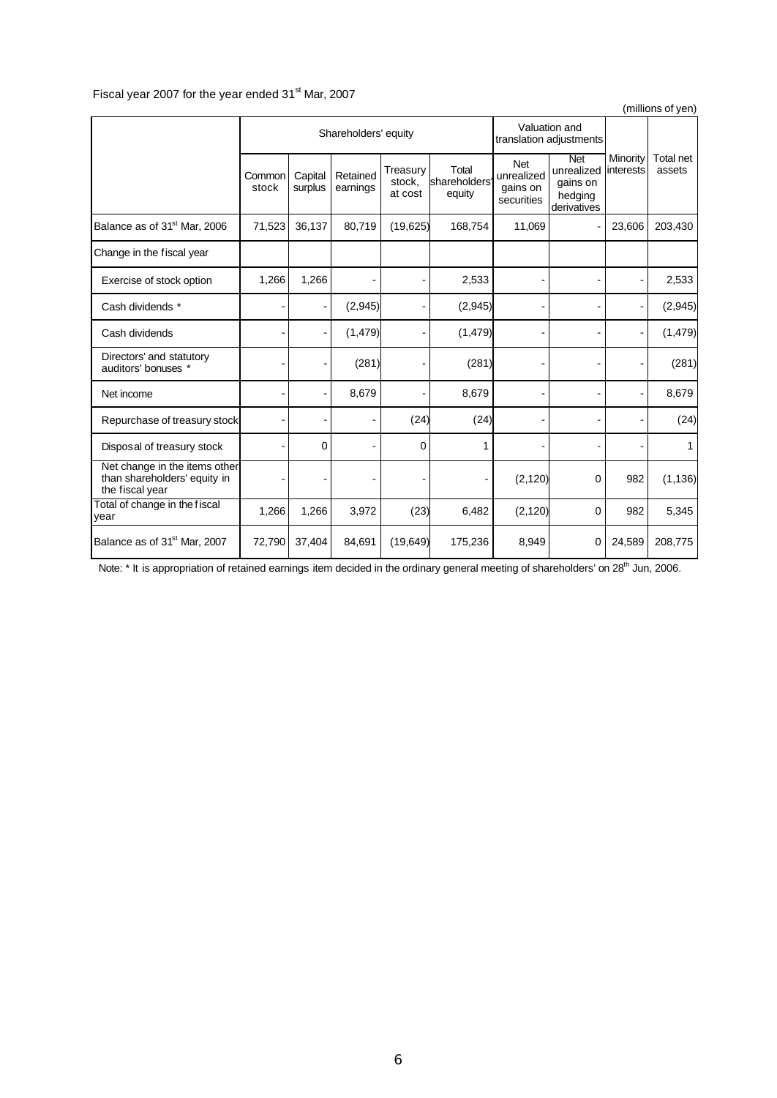### Fiscal year 2007 for the year ended 31<sup>st</sup> Mar, 2007

|                                                                                  |                 |                    |                      |                               |                                 |                                                    |                                                                |                       | (millions of yen)   |
|----------------------------------------------------------------------------------|-----------------|--------------------|----------------------|-------------------------------|---------------------------------|----------------------------------------------------|----------------------------------------------------------------|-----------------------|---------------------|
|                                                                                  |                 |                    | Shareholders' equity |                               |                                 |                                                    | Valuation and<br>translation adjustments                       |                       |                     |
|                                                                                  | Common<br>stock | Capital<br>surplus | Retained<br>earnings | Treasury<br>stock,<br>at cost | Total<br>shareholders<br>equity | <b>Net</b><br>unrealized<br>gains on<br>securities | <b>Net</b><br>unrealized<br>gains on<br>hedging<br>derivatives | Minority<br>interests | Total net<br>assets |
| Balance as of 31 <sup>st</sup> Mar, 2006                                         | 71,523          | 36,137             | 80,719               | (19, 625)                     | 168,754                         | 11,069                                             |                                                                | 23,606                | 203,430             |
| Change in the fiscal year                                                        |                 |                    |                      |                               |                                 |                                                    |                                                                |                       |                     |
| Exercise of stock option                                                         | 1,266           | 1,266              |                      |                               | 2,533                           |                                                    |                                                                |                       | 2,533               |
| Cash dividends *                                                                 |                 |                    | (2,945)              |                               | (2,945)                         |                                                    |                                                                |                       | (2,945)             |
| Cash dividends                                                                   |                 |                    | (1, 479)             |                               | (1, 479)                        |                                                    |                                                                |                       | (1, 479)            |
| Directors' and statutory<br>auditors' bonuses *                                  |                 |                    | (281)                |                               | (281)                           |                                                    |                                                                |                       | (281)               |
| Net income                                                                       |                 |                    | 8,679                |                               | 8,679                           |                                                    |                                                                |                       | 8,679               |
| Repurchase of treasury stock                                                     |                 |                    |                      | (24)                          | (24)                            |                                                    |                                                                |                       | (24)                |
| Disposal of treasury stock                                                       |                 | 0                  |                      | $\Omega$                      | 1                               |                                                    |                                                                |                       | 1                   |
| Net change in the items other<br>than shareholders' equity in<br>the fiscal year |                 |                    |                      |                               |                                 | (2, 120)                                           | $\mathbf 0$                                                    | 982                   | (1, 136)            |
| Total of change in the fiscal<br>vear                                            | 1,266           | 1,266              | 3,972                | (23)                          | 6,482                           | (2, 120)                                           | 0                                                              | 982                   | 5,345               |
| Balance as of 31 <sup>st</sup> Mar, 2007                                         | 72,790          | 37,404             | 84,691               | (19, 649)                     | 175,236                         | 8,949                                              | $\mathbf 0$                                                    | 24,589                | 208,775             |

Note: \* It is appropriation of retained earnings item decided in the ordinary general meeting of shareholders' on 28<sup>th</sup> Jun, 2006.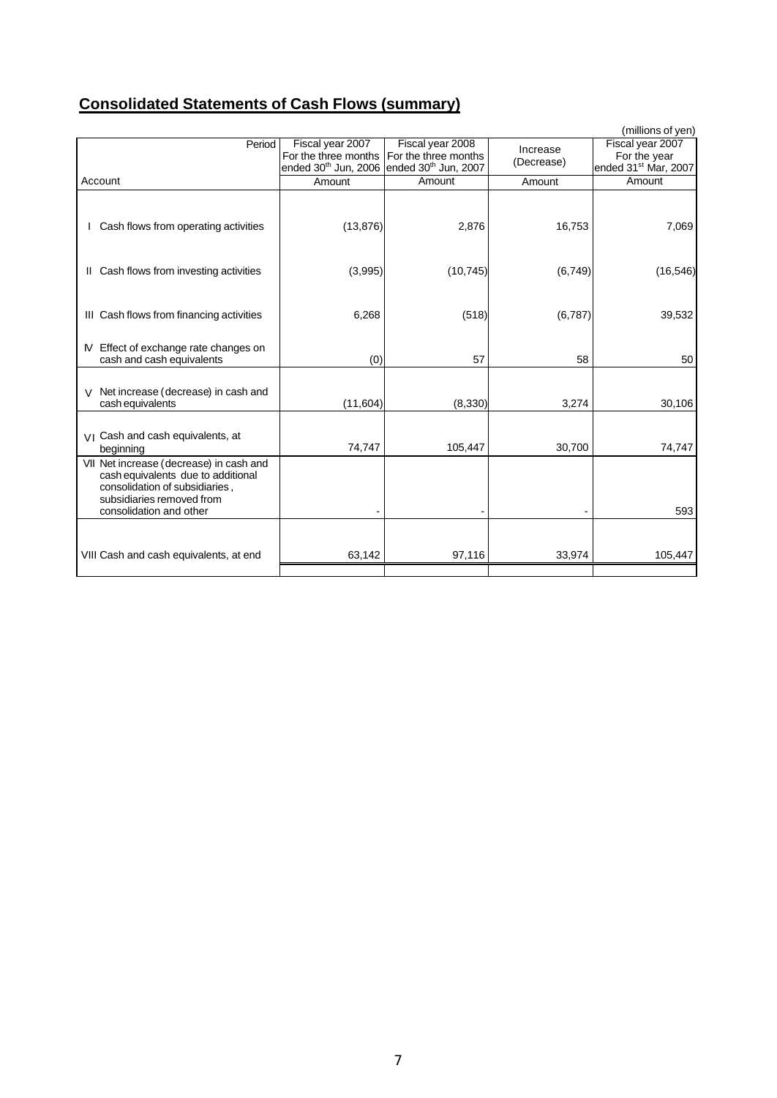# **Consolidated Statements of Cash Flows (summary)**

|                                                                               |                                                                                                                |                  |            | (millions of yen)                                |
|-------------------------------------------------------------------------------|----------------------------------------------------------------------------------------------------------------|------------------|------------|--------------------------------------------------|
| Period                                                                        | Fiscal year 2007                                                                                               | Fiscal year 2008 | Increase   | Fiscal year 2007                                 |
|                                                                               | For the three months For the three months<br>ended 30 <sup>th</sup> Jun, 2006 ended 30 <sup>th</sup> Jun, 2007 |                  | (Decrease) | For the year<br>ended 31 <sup>st</sup> Mar, 2007 |
| Account                                                                       | Amount                                                                                                         | Amount           | Amount     | Amount                                           |
|                                                                               |                                                                                                                |                  |            |                                                  |
|                                                                               |                                                                                                                |                  |            |                                                  |
| Cash flows from operating activities                                          | (13, 876)                                                                                                      | 2,876            | 16,753     | 7,069                                            |
|                                                                               |                                                                                                                |                  |            |                                                  |
|                                                                               |                                                                                                                |                  |            |                                                  |
| II Cash flows from investing activities                                       | (3,995)                                                                                                        | (10, 745)        | (6, 749)   | (16, 546)                                        |
|                                                                               |                                                                                                                |                  |            |                                                  |
|                                                                               |                                                                                                                |                  |            |                                                  |
| III Cash flows from financing activities                                      | 6,268                                                                                                          | (518)            | (6,787)    | 39,532                                           |
|                                                                               |                                                                                                                |                  |            |                                                  |
| Effect of exchange rate changes on                                            |                                                                                                                |                  |            |                                                  |
| cash and cash equivalents                                                     | (0)                                                                                                            | 57               | 58         | 50                                               |
|                                                                               |                                                                                                                |                  |            |                                                  |
| Net increase (decrease) in cash and<br>V                                      |                                                                                                                |                  |            |                                                  |
| cash equivalents                                                              | (11,604)                                                                                                       | (8,330)          | 3,274      | 30,106                                           |
|                                                                               |                                                                                                                |                  |            |                                                  |
| VI Cash and cash equivalents, at                                              |                                                                                                                |                  |            |                                                  |
| beginning                                                                     | 74,747                                                                                                         | 105,447          | 30,700     | 74,747                                           |
| VII Net increase (decrease) in cash and<br>cash equivalents due to additional |                                                                                                                |                  |            |                                                  |
| consolidation of subsidiaries,                                                |                                                                                                                |                  |            |                                                  |
| subsidiaries removed from                                                     |                                                                                                                |                  |            |                                                  |
| consolidation and other                                                       |                                                                                                                |                  |            | 593                                              |
|                                                                               |                                                                                                                |                  |            |                                                  |
|                                                                               |                                                                                                                |                  |            |                                                  |
| VIII Cash and cash equivalents, at end                                        | 63,142                                                                                                         | 97,116           | 33,974     | 105,447                                          |
|                                                                               |                                                                                                                |                  |            |                                                  |